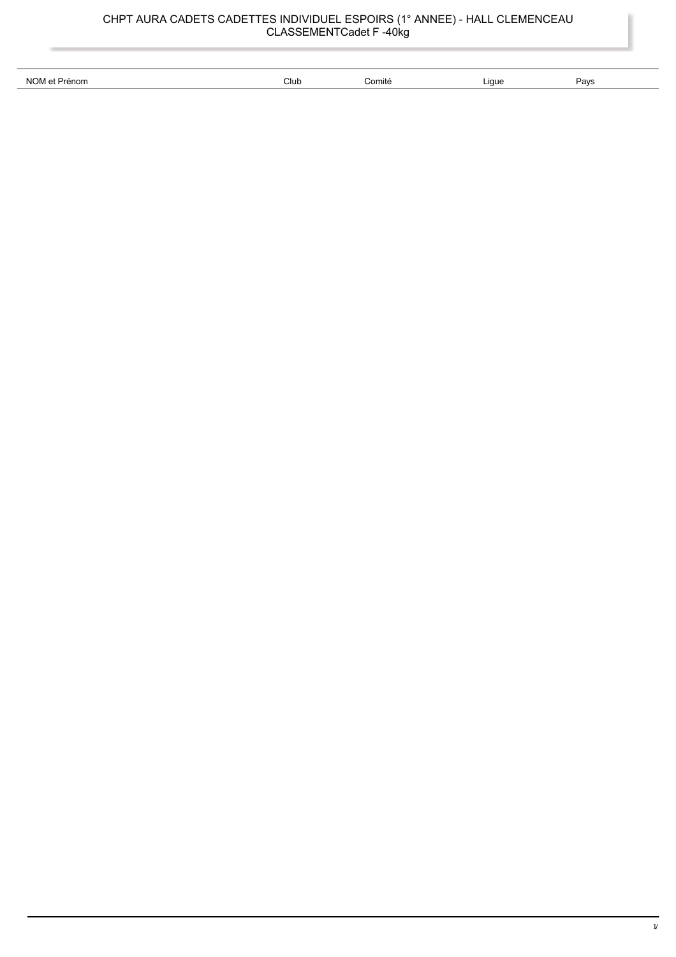| NO.<br>non | Club<br>. | ⊆omit∈ | .iaue<br>. | 1011<br>-av: |
|------------|-----------|--------|------------|--------------|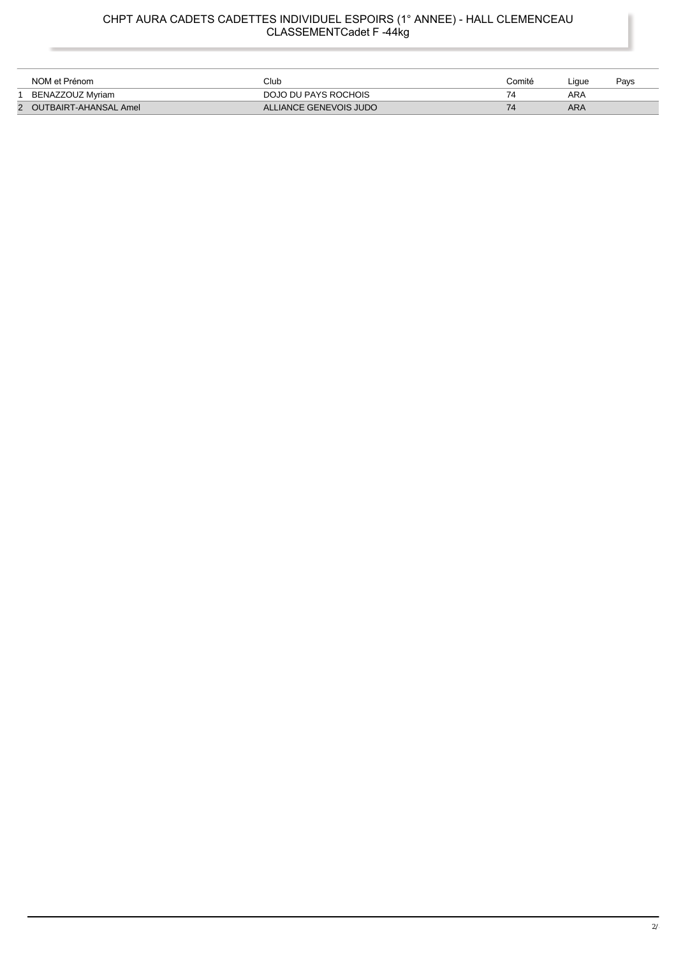## CHPT AURA CADETS CADETTES INDIVIDUEL ESPOIRS (1° ANNEE) - HALL CLEMENCEAU<br>CLASSEMENTCadet F -44kg

| NOM et Prénom           | Club                   | Comité | _iaue | Pavs |
|-------------------------|------------------------|--------|-------|------|
| BENAZZOUZ Mvriam        | DOJO DU PAYS ROCHOIS   |        | ARA   |      |
| 2 OUTBAIRT-AHANSAL Amel | ALLIANCE GENEVOIS JUDO |        | ARA   |      |

l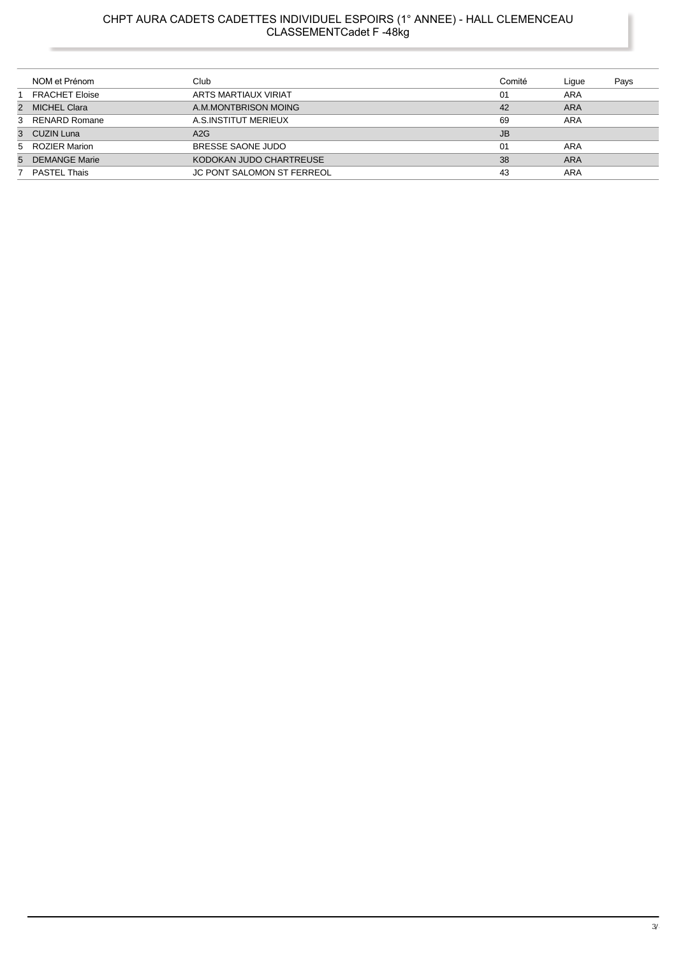## CHPT AURA CADETS CADETTES INDIVIDUEL ESPOIRS (1° ANNEE) - HALL CLEMENCEAU<br>CLASSEMENTCadet F -48kg

| NOM et Prénom         | Club                              | Comité    | Ligue      | Pays |
|-----------------------|-----------------------------------|-----------|------------|------|
| <b>FRACHET Eloise</b> | ARTS MARTIAUX VIRIAT              | 01        | ARA        |      |
| 2 MICHEL Clara        | A.M.MONTBRISON MOING              | 42        | <b>ARA</b> |      |
| 3 RENARD Romane       | A.S.INSTITUT MERIEUX              | 69        | ARA        |      |
| 3 CUZIN Luna          | A2G                               | <b>JB</b> |            |      |
| 5 ROZIER Marion       | BRESSE SAONE JUDO                 | 01        | ARA        |      |
| 5 DEMANGE Marie       | KODOKAN JUDO CHARTREUSE           | 38        | <b>ARA</b> |      |
| 7 PASTEL Thais        | <b>JC PONT SALOMON ST FERREOL</b> | 43        | ARA        |      |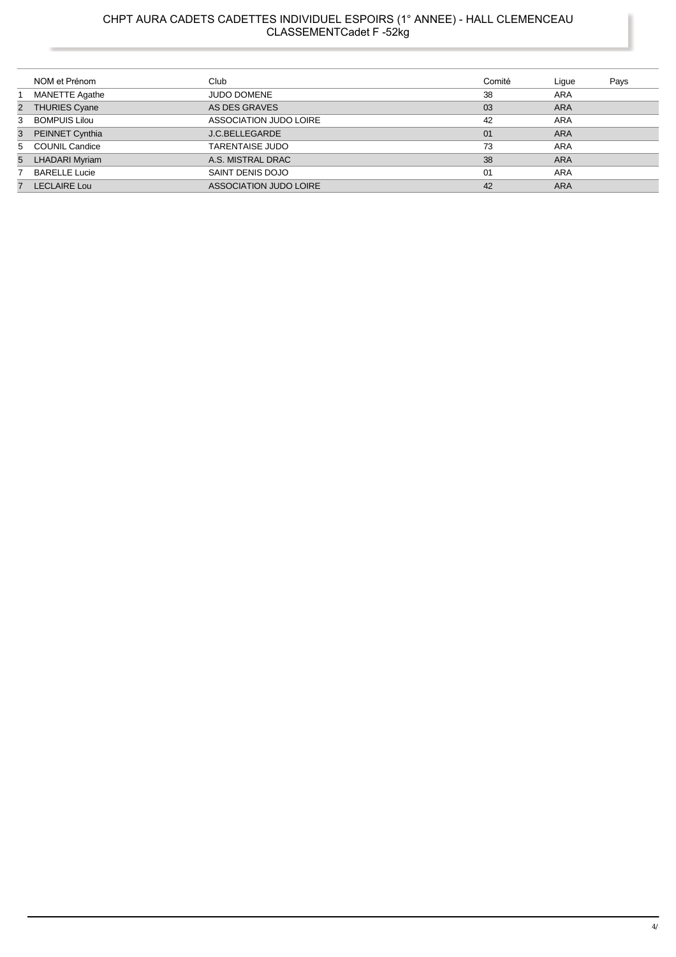### CHPT AURA CADETS CADETTES INDIVIDUEL ESPOIRS (1° ANNEE) - HALL CLEMENCEAU CLASSEMENTCadet F -52kg

|   | NOM et Prénom         | Club                   | Comité | Ligue      | Pays |
|---|-----------------------|------------------------|--------|------------|------|
|   | <b>MANETTE Agathe</b> | <b>JUDO DOMENE</b>     | 38     | <b>ARA</b> |      |
| 2 | <b>THURIES Cyane</b>  | AS DES GRAVES          | 03     | <b>ARA</b> |      |
| 3 | <b>BOMPUIS Lilou</b>  | ASSOCIATION JUDO LOIRE | 42     | <b>ARA</b> |      |
| 3 | PEINNET Cynthia       | <b>J.C.BELLEGARDE</b>  | 01     | <b>ARA</b> |      |
|   | 5 COUNIL Candice      | <b>TARENTAISE JUDO</b> | 73     | <b>ARA</b> |      |
| 5 | <b>LHADARI Myriam</b> | A.S. MISTRAL DRAC      | 38     | <b>ARA</b> |      |
|   | <b>BARELLE Lucie</b>  | SAINT DENIS DOJO       | 01     | <b>ARA</b> |      |
| 7 | <b>LECLAIRE Lou</b>   | ASSOCIATION JUDO LOIRE | 42     | <b>ARA</b> |      |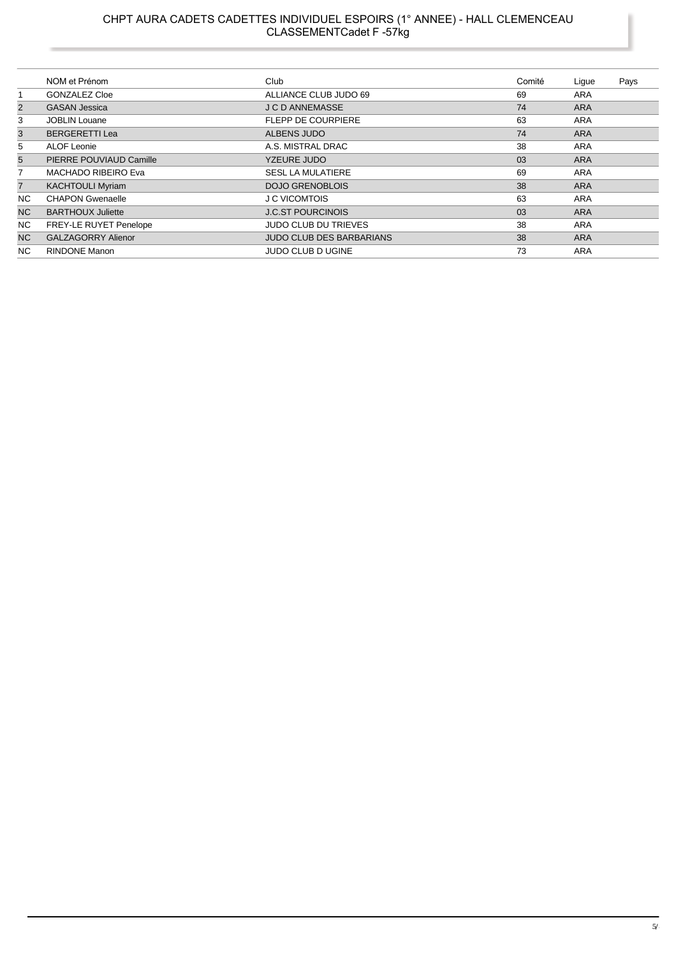#### CHPT AURA CADETS CADETTES INDIVIDUEL ESPOIRS (1° ANNEE) - HALL CLEMENCEAU CLASSEMENTCadet F -57kg

|                | NOM et Prénom                 | Club                            | Comité | Lique      | Pays |
|----------------|-------------------------------|---------------------------------|--------|------------|------|
| 1              | <b>GONZALEZ Cloe</b>          | ALLIANCE CLUB JUDO 69           | 69     | ARA        |      |
| $\overline{2}$ | <b>GASAN Jessica</b>          | <b>J C D ANNEMASSE</b>          | 74     | <b>ARA</b> |      |
| 3              | <b>JOBLIN Louane</b>          | <b>FLEPP DE COURPIERE</b>       | 63     | <b>ARA</b> |      |
| 3              | <b>BERGERETTI Lea</b>         | ALBENS JUDO                     | 74     | <b>ARA</b> |      |
| 5              | ALOF Leonie                   | A.S. MISTRAL DRAC               | 38     | ARA        |      |
| 5              | PIERRE POUVIAUD Camille       | <b>YZEURE JUDO</b>              | 03     | <b>ARA</b> |      |
| 7              | <b>MACHADO RIBEIRO Eva</b>    | <b>SESL LA MULATIERE</b>        | 69     | <b>ARA</b> |      |
| $\overline{7}$ | <b>KACHTOULI Myriam</b>       | <b>DOJO GRENOBLOIS</b>          | 38     | <b>ARA</b> |      |
| <b>NC</b>      | <b>CHAPON Gwenaelle</b>       | <b>J C VICOMTOIS</b>            | 63     | <b>ARA</b> |      |
| N <sub>C</sub> | <b>BARTHOUX Juliette</b>      | <b>J.C.ST POURCINOIS</b>        | 03     | <b>ARA</b> |      |
| NC.            | <b>FREY-LE RUYET Penelope</b> | <b>JUDO CLUB DU TRIEVES</b>     | 38     | ARA        |      |
| N <sub>C</sub> | <b>GALZAGORRY Alienor</b>     | <b>JUDO CLUB DES BARBARIANS</b> | 38     | <b>ARA</b> |      |
| <b>NC</b>      | <b>RINDONE Manon</b>          | <b>JUDO CLUB D UGINE</b>        | 73     | ARA        |      |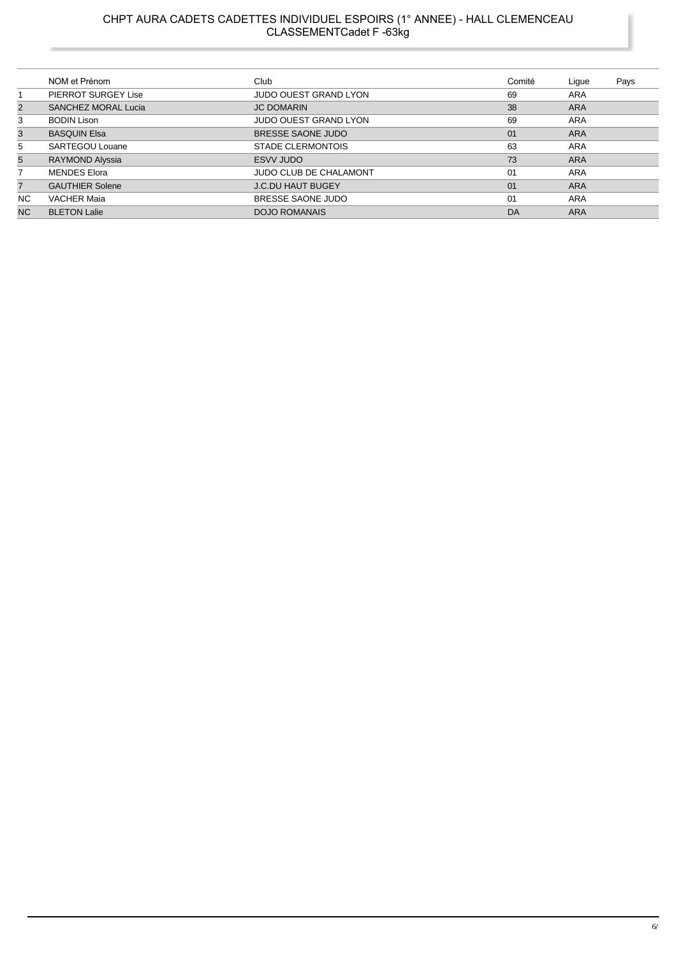# CHPT AURA CADETS CADETTES INDIVIDUEL ESPOIRS (1° ANNEE) - HALL CLEMENCEAU<br>CLASSEMENTCadet F -63kg

|                | NOM et Prénom              | Club                          | Comité | Ligue      | Pays |
|----------------|----------------------------|-------------------------------|--------|------------|------|
|                | PIERROT SURGEY Lise        | <b>JUDO OUEST GRAND LYON</b>  | 69     | <b>ARA</b> |      |
| $\overline{2}$ | <b>SANCHEZ MORAL Lucia</b> | <b>JC DOMARIN</b>             | 38     | <b>ARA</b> |      |
| 3              | <b>BODIN Lison</b>         | <b>JUDO OUEST GRAND LYON</b>  | 69     | ARA        |      |
| 3              | <b>BASQUIN Elsa</b>        | BRESSE SAONE JUDO             | 01     | <b>ARA</b> |      |
| 5              | SARTEGOU Louane            | <b>STADE CLERMONTOIS</b>      | 63     | ARA        |      |
| 5              | RAYMOND Alyssia            | ESVV JUDO                     | 73     | <b>ARA</b> |      |
|                | <b>MENDES Elora</b>        | <b>JUDO CLUB DE CHALAMONT</b> | 01     | ARA        |      |
| 7              | <b>GAUTHIER Solene</b>     | <b>J.C.DU HAUT BUGEY</b>      | 01     | <b>ARA</b> |      |
| NC.            | <b>VACHER Maia</b>         | BRESSE SAONE JUDO             | 01     | <b>ARA</b> |      |
| NC.            | <b>BLETON Lalie</b>        | <b>DOJO ROMANAIS</b>          | DA     | <b>ARA</b> |      |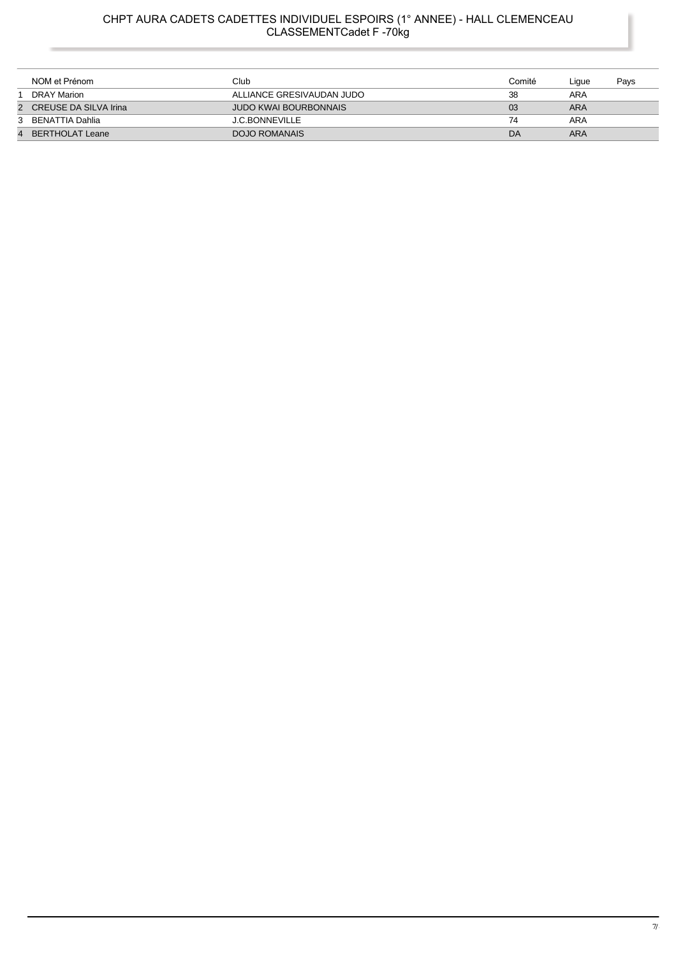## CHPT AURA CADETS CADETTES INDIVIDUEL ESPOIRS (1° ANNEE) - HALL CLEMENCEAU<br>CLASSEMENTCadet F -70kg

| NOM et Prénom           | Club                         | Comité | Lique | Pays |
|-------------------------|------------------------------|--------|-------|------|
| DRAY Marion             | ALLIANCE GRESIVAUDAN JUDO    | 38     | ARA   |      |
| 2 CREUSE DA SILVA Irina | <b>JUDO KWAI BOURBONNAIS</b> | 03     | ARA   |      |
| 3 BENATTIA Dahlia       | <b>J.C.BONNEVILLE</b>        | 74     | ARA   |      |
| 4 BERTHOLAT Leane       | DOJO ROMANAIS                | DA     | ARA   |      |